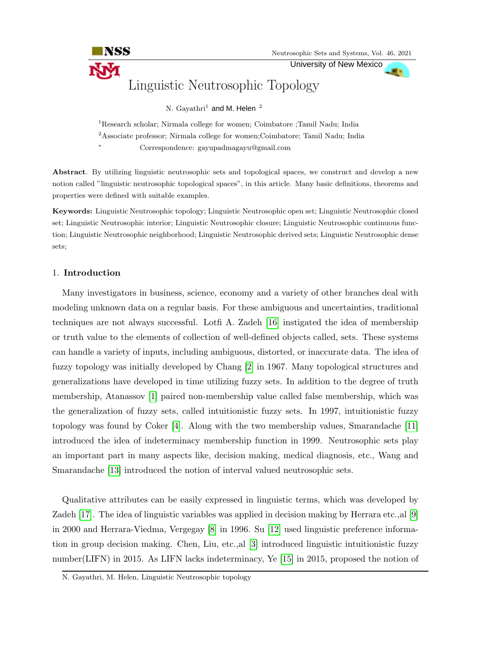University of New Mexico



N.  ${\rm Gayathri}^1$  and M. Helen  $^2$ 

<sup>1</sup>Research scholar; Nirmala college for women; Coimbatore ;Tamil Nadu; India <sup>2</sup>Associate professor; Nirmala college for women;Coimbatore; Tamil Nadu; India

<sup>∗</sup> Correspondence: gayupadmagayu@gmail.com

Abstract. By utilizing linguistic neutrosophic sets and topological spaces, we construct and develop a new notion called "linguistic neutrosophic topological spaces", in this article. Many basic definitions, theorems and properties were defined with suitable examples.

Keywords: Linguistic Neutrosophic topology; Linguistic Neutrosophic open set; Linguistic Neutrosophic closed set; Linguistic Neutrosophic interior; Linguistic Neutrosophic closure; Linguistic Neutrosophic continuous function; Linguistic Neutrosophic neighborhood; Linguistic Neutrosophic derived sets; Linguistic Neutrosophic dense sets;

## 1. Introduction

INSS

Many investigators in business, science, economy and a variety of other branches deal with modeling unknown data on a regular basis. For these ambiguous and uncertainties, traditional techniques are not always successful. Lotfi A. Zadeh [\[16\]](#page-13-0) instigated the idea of membership or truth value to the elements of collection of well-defined objects called, sets. These systems can handle a variety of inputs, including ambiguous, distorted, or inaccurate data. The idea of fuzzy topology was initially developed by Chang [\[2\]](#page-12-0) in 1967. Many topological structures and generalizations have developed in time utilizing fuzzy sets. In addition to the degree of truth membership, Atanassov [\[1\]](#page-12-1) paired non-membership value called false membership, which was the generalization of fuzzy sets, called intuitionistic fuzzy sets. In 1997, intuitionistic fuzzy topology was found by Coker [\[4\]](#page-12-2). Along with the two membership values, Smarandache [\[11\]](#page-12-3) introduced the idea of indeterminacy membership function in 1999. Neutrosophic sets play an important part in many aspects like, decision making, medical diagnosis, etc., Wang and Smarandache [\[13\]](#page-12-4) introduced the notion of interval valued neutrosophic sets.

Qualitative attributes can be easily expressed in linguistic terms, which was developed by Zadeh [\[17\]](#page-13-1). The idea of linguistic variables was applied in decision making by Herrara etc.,al [\[9\]](#page-12-5) in 2000 and Herrara-Viedma, Vergegay [\[8\]](#page-12-6) in 1996. Su [\[12\]](#page-12-7) used linguistic preference information in group decision making. Chen, Liu, etc.,al [\[3\]](#page-12-8) introduced linguistic intuitionistic fuzzy number(LIFN) in 2015. As LIFN lacks indeterminacy, Ye [\[15\]](#page-13-2) in 2015, proposed the notion of

N. Gayathri, M. Helen, Linguistic Neutrosophic topology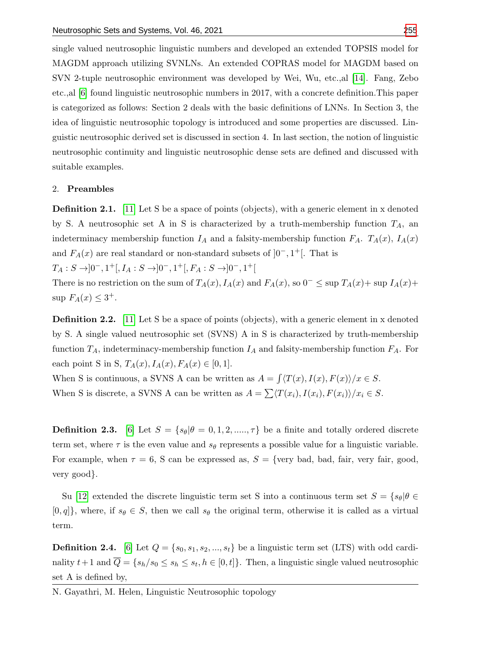single valued neutrosophic linguistic numbers and developed an extended TOPSIS model for MAGDM approach utilizing SVNLNs. An extended COPRAS model for MAGDM based on SVN 2-tuple neutrosophic environment was developed by Wei, Wu, etc.,al [\[14\]](#page-12-9). Fang, Zebo etc.,al [\[6\]](#page-12-10) found linguistic neutrosophic numbers in 2017, with a concrete definition.This paper is categorized as follows: Section 2 deals with the basic definitions of LNNs. In Section 3, the idea of linguistic neutrosophic topology is introduced and some properties are discussed. Linguistic neutrosophic derived set is discussed in section 4. In last section, the notion of linguistic neutrosophic continuity and linguistic neutrosophic dense sets are defined and discussed with suitable examples.

#### 2. Preambles

**Definition 2.1.** [\[11\]](#page-12-3) Let S be a space of points (objects), with a generic element in x denoted by S. A neutrosophic set A in S is characterized by a truth-membership function  $T_A$ , an indeterminacy membership function  $I_A$  and a falsity-membership function  $F_A$ .  $T_A(x)$ ,  $I_A(x)$ and  $F_A(x)$  are real standard or non-standard subsets of  $]0^-, 1^+[$ . That is

 $T_A: S \rightarrow ]0^-, 1^+[, I_A: S \rightarrow ]0^-, 1^+[, F_A: S \rightarrow ]0^-, 1^+]$ 

There is no restriction on the sum of  $T_A(x)$ ,  $I_A(x)$  and  $F_A(x)$ , so  $0^- \leq \sup T_A(x) + \sup T_A(x) +$  $\sup F_A(x) \leq 3^+$ .

**Definition 2.2.** [\[11\]](#page-12-3) Let S be a space of points (objects), with a generic element in x denoted by S. A single valued neutrosophic set (SVNS) A in S is characterized by truth-membership function  $T_A$ , indeterminacy-membership function  $I_A$  and falsity-membership function  $F_A$ . For each point S in S,  $T_A(x)$ ,  $I_A(x)$ ,  $F_A(x) \in [0, 1]$ .

When S is continuous, a SVNS A can be written as  $A = \frac{\int \langle T(x), I(x), F(x) \rangle}{x \in S}$ . When S is discrete, a SVNS A can be written as  $A = \sum \langle T(x_i), I(x_i), F(x_i) \rangle / x_i \in S$ .

**Definition 2.3.** [\[6\]](#page-12-10) Let  $S = \{s_\theta | \theta = 0, 1, 2, \dots, \tau\}$  be a finite and totally ordered discrete term set, where  $\tau$  is the even value and  $s_{\theta}$  represents a possible value for a linguistic variable. For example, when  $\tau = 6$ , S can be expressed as,  $S = \{ \text{very bad, bad, fair, very fair, good,}$ very good}.

Su [\[12\]](#page-12-7) extended the discrete linguistic term set S into a continuous term set  $S = \{s_\theta | \theta \in$  $[0, q]$ , where, if  $s_{\theta} \in S$ , then we call  $s_{\theta}$  the original term, otherwise it is called as a virtual term.

**Definition 2.4.** [\[6\]](#page-12-10) Let  $Q = \{s_0, s_1, s_2, ..., s_t\}$  be a linguistic term set (LTS) with odd cardinality  $t+1$  and  $\overline{Q} = \{s_h/s_0 \le s_h \le s_t, h \in [0, t]\}.$  Then, a linguistic single valued neutrosophic set A is defined by,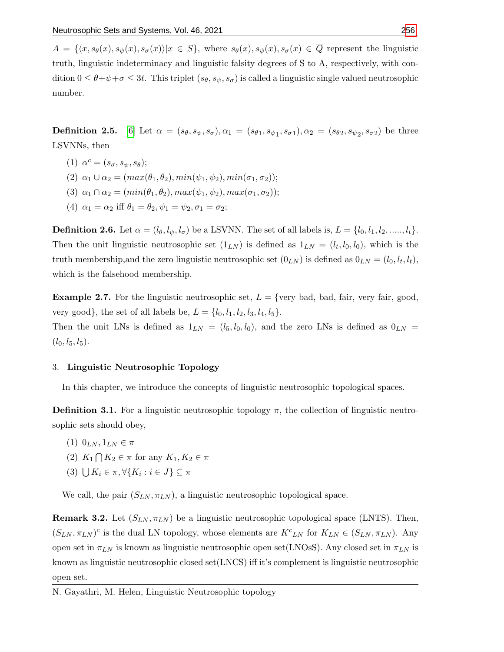$A = \{\langle x, s_{\theta}(x), s_{\psi}(x), s_{\sigma}(x)\rangle | x \in S\},\$  where  $s_{\theta}(x), s_{\psi}(x), s_{\sigma}(x) \in \overline{Q}$  represent the linguistic truth, linguistic indeterminacy and linguistic falsity degrees of S to A, respectively, with condition  $0 \leq \theta + \psi + \sigma \leq 3t$ . This triplet  $(s_{\theta}, s_{\psi}, s_{\sigma})$  is called a linguistic single valued neutrosophic number.

**Definition 2.5.** [\[6\]](#page-12-10) Let  $\alpha = (s_{\theta}, s_{\psi}, s_{\sigma}), \alpha_1 = (s_{\theta 1}, s_{\psi 1}, s_{\sigma 1}), \alpha_2 = (s_{\theta 2}, s_{\psi 2}, s_{\sigma 2})$  be three LSVNNs, then

- (1)  $\alpha^c = (s_\sigma, s_\psi, s_\theta);$
- (2)  $\alpha_1 \cup \alpha_2 = (max(\theta_1, \theta_2), min(\psi_1, \psi_2), min(\sigma_1, \sigma_2));$
- (3)  $\alpha_1 \cap \alpha_2 = (min(\theta_1, \theta_2), max(\psi_1, \psi_2), max(\sigma_1, \sigma_2));$
- (4)  $\alpha_1 = \alpha_2$  iff  $\theta_1 = \theta_2, \psi_1 = \psi_2, \sigma_1 = \sigma_2;$

**Definition 2.6.** Let  $\alpha = (l_{\theta}, l_{\psi}, l_{\sigma})$  be a LSVNN. The set of all labels is,  $L = \{l_0, l_1, l_2, \ldots, l_t\}.$ Then the unit linguistic neutrosophic set  $(1_{LN})$  is defined as  $1_{LN} = (l_t, l_0, l_0)$ , which is the truth membership, and the zero linguistic neutrosophic set  $(0_{LN})$  is defined as  $0_{LN} = (l_0, l_t, l_t)$ , which is the falsehood membership.

**Example 2.7.** For the linguistic neutrosophic set,  $L = \{ \text{very bad, bad, fair, very fair, good,}$ very good}, the set of all labels be,  $L = \{l_0, l_1, l_2, l_3, l_4, l_5\}.$ Then the unit LNs is defined as  $1_{LN} = (l_5, l_0, l_0)$ , and the zero LNs is defined as  $0_{LN}$  =  $(l_0, l_5, l_5).$ 

#### 3. Linguistic Neutrosophic Topology

In this chapter, we introduce the concepts of linguistic neutrosophic topological spaces.

**Definition 3.1.** For a linguistic neutrosophic topology  $\pi$ , the collection of linguistic neutrosophic sets should obey,

- (1)  $0_{LN}, 1_{LN} \in \pi$
- (2)  $K_1 \bigcap K_2 \in \pi$  for any  $K_1, K_2 \in \pi$
- (3)  $\bigcup K_i \in \pi, \forall \{K_i : i \in J\} \subseteq \pi$

We call, the pair  $(S_{LN}, \pi_{LN})$ , a linguistic neutrosophic topological space.

**Remark 3.2.** Let  $(S_{LN}, \pi_{LN})$  be a linguistic neutrosophic topological space (LNTS). Then,  $(S_{LN}, \pi_{LN})^c$  is the dual LN topology, whose elements are  $K^c_{LN}$  for  $K_{LN} \in (S_{LN}, \pi_{LN})$ . Any open set in  $\pi_{LN}$  is known as linguistic neutrosophic open set(LNOsS). Any closed set in  $\pi_{LN}$  is known as linguistic neutrosophic closed set(LNCS) iff it's complement is linguistic neutrosophic open set.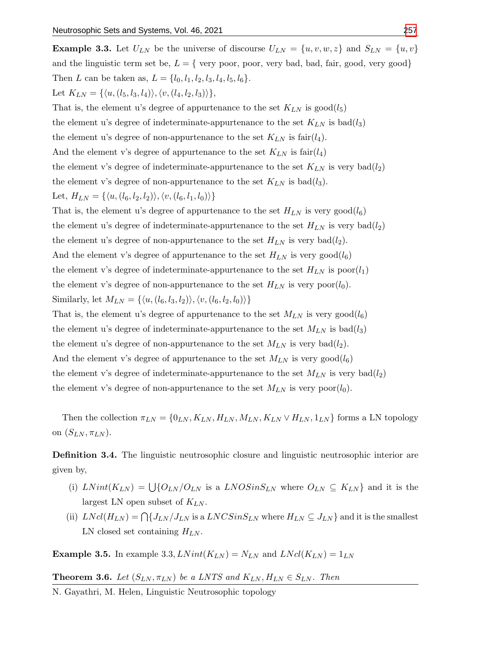**Example 3.3.** Let  $U_{LN}$  be the universe of discourse  $U_{LN} = \{u, v, w, z\}$  and  $S_{LN} = \{u, v\}$ and the linguistic term set be,  $L = \{$  very poor, poor, very bad, bad, fair, good, very good $\}$ Then L can be taken as,  $L = \{l_0, l_1, l_2, l_3, l_4, l_5, l_6\}.$ Let  $K_{LN} = \{\langle u, (l_5, l_3, l_4) \rangle, \langle v, (l_4, l_2, l_3) \rangle\},\$ 

That is, the element u's degree of appurtenance to the set  $K_{LN}$  is  $\text{good}(l_5)$ the element u's degree of indeterminate-appurtenance to the set  $K_{LN}$  is bad( $l_3$ ) the element u's degree of non-appurtenance to the set  $K_{LN}$  is fair $(l_4)$ . And the element v's degree of appurtenance to the set  $K_{LN}$  is fair $(l_4)$ the element v's degree of indeterminate-appurtenance to the set  $K_{LN}$  is very bad $(l_2)$ the element v's degree of non-appurtenance to the set  $K_{LN}$  is bad( $l_3$ ). Let,  $H_{LN} = \{\langle u, (l_6, l_2, l_2)\rangle, \langle v, (l_6, l_1, l_0)\rangle\}$ 

That is, the element u's degree of appurtenance to the set  $H_{LN}$  is very good( $l_6$ ) the element u's degree of indeterminate-appurtenance to the set  $H_{LN}$  is very bad $(l_2)$ the element u's degree of non-appurtenance to the set  $H_{LN}$  is very bad( $l_2$ ). And the element v's degree of appurtenance to the set  $H_{LN}$  is very good( $l_6$ ) the element v's degree of indeterminate-appurtenance to the set  $H_{LN}$  is  $\text{poor}(l_1)$ 

the element v's degree of non-appurtenance to the set  $H_{LN}$  is very poor $(l_0)$ .

Similarly, let  $M_{LN} = \{\langle u, (l_6, l_3, l_2)\rangle, \langle v, (l_6, l_2, l_0)\rangle\}$ 

That is, the element u's degree of appurtenance to the set  $M_{LN}$  is very good( $l_6$ )

the element u's degree of indeterminate-appurtenance to the set  $M_{LN}$  is bad( $l_3$ )

the element u's degree of non-appurtenance to the set  $M_{LN}$  is very bad( $l_2$ ).

And the element v's degree of appurtenance to the set  $M_{LN}$  is very good( $l_6$ )

the element v's degree of indeterminate-appurtenance to the set  $M_{LN}$  is very  $bad(l_2)$ 

the element v's degree of non-appurtenance to the set  $M_{LN}$  is very poor $(l_0)$ .

Then the collection  $\pi_{LN} = \{0_{LN}, K_{LN}, H_{LN}, M_{LN}, K_{LN} \vee H_{LN}, 1_{LN}\}\$  forms a LN topology on  $(S_{LN}, \pi_{LN})$ .

Definition 3.4. The linguistic neutrosophic closure and linguistic neutrosophic interior are given by,

- (i)  $LNint(K_{LN}) = \bigcup \{O_{LN}/O_{LN} \text{ is a } LNOSinS_{LN} \text{ where } O_{LN} \subseteq K_{LN} \}$  and it is the largest LN open subset of  $K_{LN}$ .
- (ii)  $LNcl(H_{LN}) = \bigcap \{J_{LN}/J_{LN}\}\$ is a  $LNCSinS_{LN}$  where  $H_{LN} \subseteq J_{LN}\}$  and it is the smallest LN closed set containing  $H_{LN}$ .

**Example 3.5.** In example 3.3,  $LNint(K_{LN}) = N_{LN}$  and  $LNcl(K_{LN}) = 1_{LN}$ 

**Theorem 3.6.** Let  $(S_{LN}, \pi_{LN})$  be a LNTS and  $K_{LN}, H_{LN} \in S_{LN}$ . Then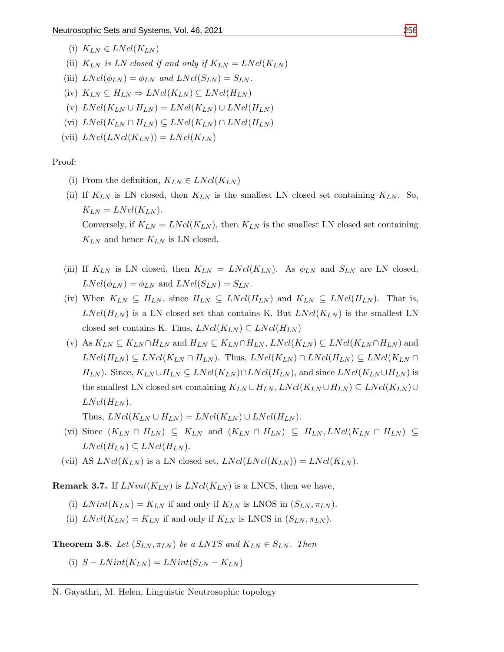- (i)  $K_{LN} \in LNcl(K_{LN})$
- (ii)  $K_{LN}$  is LN closed if and only if  $K_{LN} = LNcl(K_{LN})$
- (iii)  $LNcl(\phi_{LN}) = \phi_{LN}$  and  $LNcl(S_{LN}) = S_{LN}$ .
- (iv)  $K_{LN} \subseteq H_{LN} \Rightarrow LNcl(K_{LN}) \subseteq LNcl(H_{LN})$
- (v)  $LNcl(K_{LN} \cup H_{LN}) = LNcl(K_{LN}) \cup LNcl(H_{LN})$
- (vi)  $LNcl(K_{LN} \cap H_{LN}) \subseteq LNcl(K_{LN}) \cap LNcl(H_{LN})$
- (vii)  $LNcl(LNcl(K_{LN})) = LNcl(K_{LN})$

Proof:

- (i) From the definition,  $K_{LN} \in LNcl(K_{LN})$
- (ii) If  $K_{LN}$  is LN closed, then  $K_{LN}$  is the smallest LN closed set containing  $K_{LN}$ . So,  $K_{LN} = LNcl(K_{LN}).$ Conversely, if  $K_{LN} = LNcl(K_{LN})$ , then  $K_{LN}$  is the smallest LN closed set containing  $K_{LN}$  and hence  $K_{LN}$  is LN closed.
- (iii) If  $K_{LN}$  is LN closed, then  $K_{LN} = LNcl(K_{LN})$ . As  $\phi_{LN}$  and  $S_{LN}$  are LN closed,  $LNcl(\phi_{LN}) = \phi_{LN}$  and  $LNcl(S_{LN}) = S_{LN}$ .
- (iv) When  $K_{LN} \subseteq H_{LN}$ , since  $H_{LN} \subseteq LNcl(H_{LN})$  and  $K_{LN} \subseteq LNcl(H_{LN})$ . That is,  $LNcl(H_{LN})$  is a LN closed set that contains K. But  $LNcl(K_{LN})$  is the smallest LN closed set contains K. Thus,  $LNcl(K_{LN}) \subseteq LNcl(H_{LN})$
- (v) As  $K_{LN} \subseteq K_{LN} \cap H_{LN}$  and  $H_{LN} \subseteq K_{LN} \cap H_{LN}$ ,  $LNcl(K_{LN}) \subseteq LNcl(K_{LN} \cap H_{LN})$  and  $LNcl(H_{LN}) \subseteq LNcl(K_{LN} \cap H_{LN})$ . Thus,  $LNcl(K_{LN}) \cap LNcl(H_{LN}) \subseteq LNcl(K_{LN} \cap H_{LN})$  $H_{LN}$ ). Since,  $K_{LN} \cup H_{LN} \subseteq LNcl(K_{LN}) \cap LNcl(H_{LN})$ , and since  $LNcl(K_{LN} \cup H_{LN})$  is the smallest LN closed set containing  $K_{LN} \cup H_{LN}$ ,  $LNcl(K_{LN} \cup H_{LN}) \subseteq LNcl(K_{LN}) \cup$  $LNcl(H_{LN}).$ Thus,  $LNcl(K_{LN} \cup H_{LN}) = LNcl(K_{LN}) \cup LNcl(H_{LN}).$
- (vi) Since  $(K_{LN} \cap H_{LN}) \subseteq K_{LN}$  and  $(K_{LN} \cap H_{LN}) \subseteq H_{LN}, LNcl(K_{LN} \cap H_{LN}) \subseteq$  $LNcl(H_{LN}) \subseteq LNcl(H_{LN}).$
- (vii) AS  $LNcl(K_{LN})$  is a LN closed set,  $LNcl(LNcl(K_{LN})) = LNcl(K_{LN}).$

**Remark 3.7.** If  $LNint(K_{LN})$  is  $LNcl(K_{LN})$  is a LNCS, then we have,

- (i)  $LNint(K_{LN}) = K_{LN}$  if and only if  $K_{LN}$  is LNOS in  $(S_{LN}, \pi_{LN})$ .
- (ii)  $LNcl(K_{LN}) = K_{LN}$  if and only if  $K_{LN}$  is LNCS in  $(S_{LN}, \pi_{LN})$ .

**Theorem 3.8.** Let  $(S_{LN}, \pi_{LN})$  be a LNTS and  $K_{LN} \in S_{LN}$ . Then

(i)  $S-LNint(K_{LN})=LNint(S_{LN}-K_{LN})$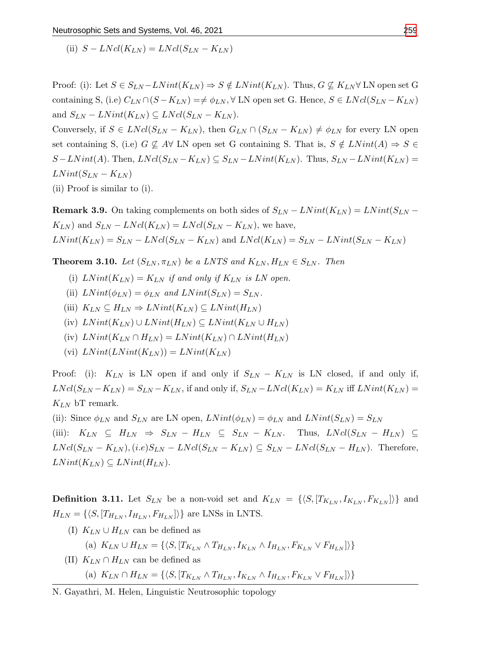(ii)  $S - LNcl(K_{LN}) = LNcl(S_{LN} - K_{LN})$ 

Proof: (i): Let  $S \in S_{LN}$  –  $LNint(K_{LN}) \Rightarrow S \notin LNint(K_{LN})$ . Thus,  $G \nsubseteq K_{LN} \forall LN$  open set G containing S, (i.e)  $C_{LN} \cap (S - K_{LN}) \implies \phi_{LN}$ ,  $\forall$  LN open set G. Hence,  $S \in LNcl(S_{LN} - K_{LN})$ and  $S_{LN} - LNint(K_{LN}) \subseteq LNcl(S_{LN} - K_{LN}).$ 

Conversely, if  $S \in LNcl(S_{LN} - K_{LN})$ , then  $G_{LN} \cap (S_{LN} - K_{LN}) \neq \phi_{LN}$  for every LN open set containing S, (i.e)  $G \nsubseteq A \forall$  LN open set G containing S. That is,  $S \notin LNint(A) \Rightarrow S \in$  $S-LNint(A)$ . Then,  $LNcl(S_{LN}-K_{LN}) \subseteq S_{LN}-LNint(K_{LN})$ . Thus,  $S_{LN}-LNint(K_{LN})=$  $LNint(S_{LN} - K_{LN})$ 

(ii) Proof is similar to (i).

**Remark 3.9.** On taking complements on both sides of  $S_{LN} - LNint(K_{LN}) = LNint(S_{LN} K_{LN}$ ) and  $S_{LN} - LNcl(K_{LN}) = LNcl(S_{LN} - K_{LN})$ , we have,  $LNint(K_{LN}) = S_{LN} - LNcl(S_{LN} - K_{LN})$  and  $LNcl(K_{LN}) = S_{LN} - LNint(S_{LN} - K_{LN})$ 

**Theorem 3.10.** Let  $(S_{LN}, \pi_{LN})$  be a LNTS and  $K_{LN}, H_{LN} \in S_{LN}$ . Then

- (i)  $LNint(K_{LN}) = K_{LN}$  if and only if  $K_{LN}$  is LN open.
- (ii)  $LNint(\phi_{LN}) = \phi_{LN}$  and  $LNint(S_{LN}) = S_{LN}$ .
- (iii)  $K_{LN} \subseteq H_{LN} \Rightarrow LNint(K_{LN}) \subseteq LNint(H_{LN})$
- (iv)  $LNint(K_{LN}) \cup LNint(H_{LN}) \subseteq LNint(K_{LN} \cup H_{LN})$
- (iv)  $LNint(K_{LN} \cap H_{LN}) = LNint(K_{LN}) \cap LNint(H_{LN})$
- (vi)  $LNint(LNint(K_{LN})) = LNint(K_{LN})$

Proof: (i):  $K_{LN}$  is LN open if and only if  $S_{LN} - K_{LN}$  is LN closed, if and only if,  $LNcl(S_{LN} - K_{LN}) = S_{LN} - K_{LN}$ , if and only if,  $S_{LN} - LNcl(K_{LN}) = K_{LN}$  iff  $LNint(K_{LN}) =$  $K_{LN}$  bT remark.

(ii): Since  $\phi_{LN}$  and  $S_{LN}$  are LN open,  $LNint(\phi_{LN}) = \phi_{LN}$  and  $LNint(S_{LN}) = S_{LN}$ 

(iii):  $K_{LN} \subseteq H_{LN} \Rightarrow S_{LN} - H_{LN} \subseteq S_{LN} - K_{LN}$ . Thus,  $LNcl(S_{LN} - H_{LN}) \subseteq$  $LNcl(S_{LN} - K_{LN})$ ,  $(i.e)S_{LN} - LNcl(S_{LN} - K_{LN}) \subseteq S_{LN} - LNcl(S_{LN} - H_{LN})$ . Therefore,  $LNint(K_{LN}) \subseteq LNint(H_{LN}).$ 

**Definition 3.11.** Let  $S_{LN}$  be a non-void set and  $K_{LN} = \{\langle S, [T_{K_{LN}}, I_{K_{LN}}, F_{K_{LN}}]\rangle\}$  and  $H_{LN} = \{ \langle S, [T_{H_{LN}}, I_{H_{LN}}, F_{H_{LN}}] \rangle \}$  are LNSs in LNTS.

(I)  $K_{LN} \cup H_{LN}$  can be defined as

(a)  $K_{LN} \cup H_{LN} = \{\langle S, [T_{K_{LN}} \wedge T_{H_{LN}}, I_{K_{LN}} \wedge I_{H_{LN}}, F_{K_{LN}} \vee F_{H_{LN}}]\rangle\}$ 

(II)  $K_{LN} \cap H_{LN}$  can be defined as

(a)  $K_{LN} \cap H_{LN} = \{ \langle S, [T_{K_{LN}} \wedge T_{H_{LN}}, I_{K_{LN}} \wedge I_{H_{LN}}, F_{K_{LN}} \vee F_{H_{LN}}] \rangle \}$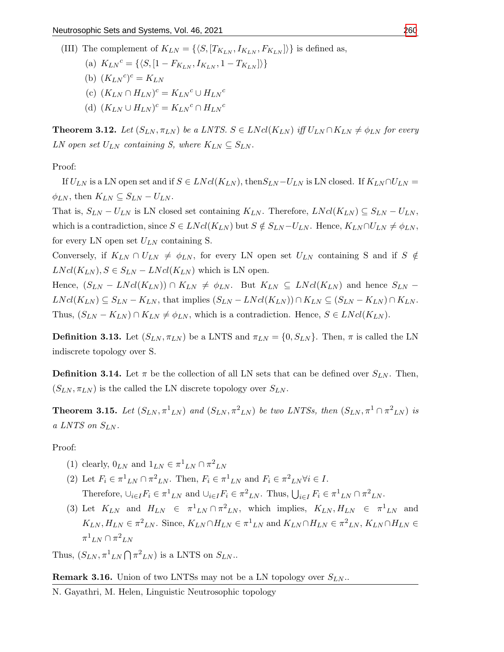- (III) The complement of  $K_{LN} = \{\langle S, [T_{K_{LN}}, I_{K_{LN}}, F_{K_{LN}}]\rangle\}$  is defined as,
	- (a)  $K_{LN}^c = \{ \langle S, [1 F_{K_{LN}}, I_{K_{LN}}, 1 T_{K_{LN}}] \rangle \}$
	- (b)  $(K_{LN}^c)^c = K_{LN}$
	- (c)  $(K_{LN} \cap H_{LN})^c = K_{LN}^c \cup H_{LN}^c$
	- (d)  $(K_{LN} \cup H_{LN})^c = K_{LN}^c \cap H_{LN}^c$

**Theorem 3.12.** Let  $(S_{LN}, \pi_{LN})$  be a LNTS.  $S \in LNcl(K_{LN})$  iff  $U_{LN} \cap K_{LN} \neq \phi_{LN}$  for every LN open set  $U_{LN}$  containing S, where  $K_{LN} \subseteq S_{LN}$ .

Proof:

If  $U_{LN}$  is a LN open set and if  $S \in LNcl(K_{LN})$ , then  $S_{LN} - U_{LN}$  is LN closed. If  $K_{LN} \cap U_{LN} =$  $\phi_{LN}$ , then  $K_{LN} \subseteq S_{LN} - U_{LN}$ .

That is,  $S_{LN} - U_{LN}$  is LN closed set containing  $K_{LN}$ . Therefore,  $LNcl(K_{LN}) \subseteq S_{LN} - U_{LN}$ , which is a contradiction, since  $S \in LNcl(K_{LN})$  but  $S \notin S_{LN} - U_{LN}$ . Hence,  $K_{LN} \cap U_{LN} \neq \phi_{LN}$ , for every LN open set  $U_{LN}$  containing S.

Conversely, if  $K_{LN} \cap U_{LN} \neq \phi_{LN}$ , for every LN open set  $U_{LN}$  containing S and if S  $\notin$  $LNcl(K_{LN}), S \in S_{LN} - LNcl(K_{LN})$  which is LN open.

Hence,  $(S_{LN} - LNcl(K_{LN})) \cap K_{LN} \neq \phi_{LN}$ . But  $K_{LN} \subseteq LNcl(K_{LN})$  and hence  $S_{LN}$  –  $LNcl(K_{LN}) \subseteq S_{LN} - K_{LN}$ , that implies  $(S_{LN} - LNcl(K_{LN})) \cap K_{LN} \subseteq (S_{LN} - K_{LN}) \cap K_{LN}$ . Thus,  $(S_{LN} - K_{LN}) \cap K_{LN} \neq \phi_{LN}$ , which is a contradiction. Hence,  $S \in LNcl(K_{LN})$ .

**Definition 3.13.** Let  $(S_{LN}, \pi_{LN})$  be a LNTS and  $\pi_{LN} = \{0, S_{LN}\}\$ . Then,  $\pi$  is called the LN indiscrete topology over S.

**Definition 3.14.** Let  $\pi$  be the collection of all LN sets that can be defined over  $S_{LN}$ . Then,  $(S_{LN}, \pi_{LN})$  is the called the LN discrete topology over  $S_{LN}$ .

**Theorem 3.15.** Let  $(S_{LN}, \pi^1{}_{LN})$  and  $(S_{LN}, \pi^2{}_{LN})$  be two LNTSs, then  $(S_{LN}, \pi^1 \cap \pi^2{}_{LN})$  is a LNTS on  $S_{LN}$ .

Proof:

- (1) clearly,  $0_{LN}$  and  $1_{LN} \in \pi^1_{LN} \cap \pi^2_{LN}$
- (2) Let  $F_i \in \pi^1{}_{LN} \cap \pi^2{}_{LN}$ . Then,  $F_i \in \pi^1{}_{LN}$  and  $F_i \in \pi^2{}_{LN} \forall i \in I$ . Therefore,  $\cup_{i\in I} F_i \in \pi^1_{LN}$  and  $\cup_{i\in I} F_i \in \pi^2_{LN}$ . Thus,  $\bigcup_{i\in I} F_i \in \pi^1_{LN} \cap \pi^2_{LN}$ .
- (3) Let  $K_{LN}$  and  $H_{LN} \in \pi^1_{LN} \cap \pi^2_{LN}$ , which implies,  $K_{LN}, H_{LN} \in \pi^1_{LN}$  and  $K_{LN}, H_{LN} \in \pi^2_{LN}$ . Since,  $K_{LN} \cap H_{LN} \in \pi^1_{LN}$  and  $K_{LN} \cap H_{LN} \in \pi^2_{LN}, K_{LN} \cap H_{LN} \in$  $\pi^1{}_{LN} \cap \pi^2{}_{LN}$

Thus,  $(S_{LN}, \pi^1{}_{LN} \bigcap {\pi^2}_{LN})$  is a LNTS on  $S_{LN}$ .

# **Remark 3.16.** Union of two LNTSs may not be a LN topology over  $S_{LN}$ .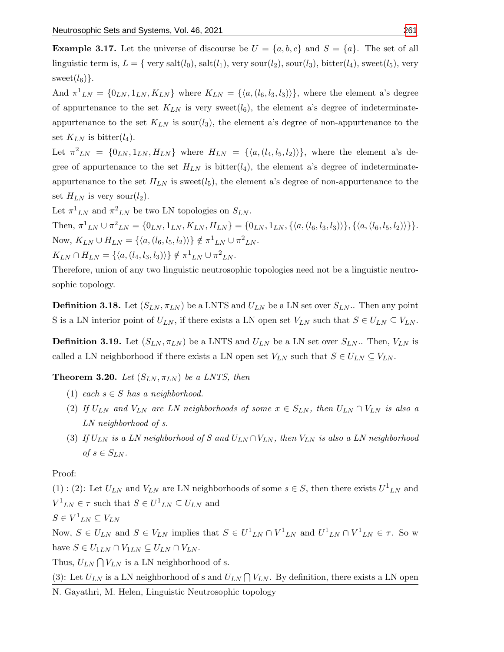**Example 3.17.** Let the universe of discourse be  $U = \{a, b, c\}$  and  $S = \{a\}$ . The set of all linguistic term is,  $L = \{ \text{very salt}(l_0), \text{salt}(l_1), \text{very sour}(l_2), \text{source}(l_3), \text{bitter}(l_4), \text{sweet}(l_5), \text{very} \}$ sweet $(l_6)$ .

And  $\pi^1{}_{LN} = \{0_{LN}, 1_{LN}, K_{LN}\}\$  where  $K_{LN} = \{\langle a, (l_6, l_3, l_3) \rangle\}\$ , where the element a's degree of appurtenance to the set  $K_{LN}$  is very sweet( $l_6$ ), the element a's degree of indeterminateappurtenance to the set  $K_{LN}$  is sour( $l_3$ ), the element a's degree of non-appurtenance to the set  $K_{LN}$  is bitter( $l_4$ ).

Let  $\pi^2_{LN} = \{0_{LN}, 1_{LN}, H_{LN}\}\$  where  $H_{LN} = \{\langle a, (l_4, l_5, l_2) \rangle\}\$ , where the element a's degree of appurtenance to the set  $H_{LN}$  is bitter( $l_4$ ), the element a's degree of indeterminateappurtenance to the set  $H_{LN}$  is sweet( $l_5$ ), the element a's degree of non-appurtenance to the set  $H_{LN}$  is very sour( $l_2$ ).

Let  $\pi^1{}_{LN}$  and  $\pi^2{}_{LN}$  be two LN topologies on  $S_{LN}$ .

Then,  $\pi^1{}_{LN} \cup \pi^2{}_{LN} = \{0_{LN}, 1_{LN}, K_{LN}, H_{LN}\} = \{0_{LN}, 1_{LN}, \{\langle a, (l_6, l_3, l_3) \rangle\}, \{\langle a, (l_6, l_5, l_2) \rangle\}\}.$ Now,  $K_{LN} \cup H_{LN} = \{ \langle a, (l_6, l_5, l_2) \rangle \} \notin \pi^1{}_{LN} \cup \pi^2{}_{LN}.$  $K_{LN} \cap H_{LN} = \{ \langle a, (l_4, l_3, l_3) \rangle \} \notin \pi^1{}_{LN} \cup \pi^2{}_{LN}.$ 

Therefore, union of any two linguistic neutrosophic topologies need not be a linguistic neutrosophic topology.

**Definition 3.18.** Let  $(S_{LN}, \pi_{LN})$  be a LNTS and  $U_{LN}$  be a LN set over  $S_{LN}$ . Then any point S is a LN interior point of  $U_{LN}$ , if there exists a LN open set  $V_{LN}$  such that  $S \in U_{LN} \subseteq V_{LN}$ .

**Definition 3.19.** Let  $(S_{LN}, \pi_{LN})$  be a LNTS and  $U_{LN}$  be a LN set over  $S_{LN}$ . Then,  $V_{LN}$  is called a LN neighborhood if there exists a LN open set  $V_{LN}$  such that  $S \in U_{LN} \subseteq V_{LN}$ .

**Theorem 3.20.** Let  $(S_{LN}, \pi_{LN})$  be a LNTS, then

- (1) each  $s \in S$  has a neighborhood.
- (2) If  $U_{LN}$  and  $V_{LN}$  are LN neighborhoods of some  $x \in S_{LN}$ , then  $U_{LN} \cap V_{LN}$  is also a LN neighborhood of s.
- (3) If  $U_{LN}$  is a LN neighborhood of S and  $U_{LN} \cap V_{LN}$ , then  $V_{LN}$  is also a LN neighborhood of  $s \in S_{LN}$ .

Proof:

(1): (2): Let  $U_{LN}$  and  $V_{LN}$  are LN neighborhoods of some  $s \in S$ , then there exists  $U^{1}{}_{LN}$  and  $V^1{}_{LN} \in \tau$  such that  $S \in U^1{}_{LN} \subseteq U_{LN}$  and

 $S \in V^1{}_{LN} \subseteq V_{LN}$ 

Now,  $S \in U_{LN}$  and  $S \in V_{LN}$  implies that  $S \in U^1{}_{LN} \cap V^1{}_{LN}$  and  $U^1{}_{LN} \cap V^1{}_{LN} \in \tau$ . So w have  $S \in U_{1LN} \cap V_{1LN} \subseteq U_{LN} \cap V_{LN}$ .

Thus,  $U_{LN} \bigcap V_{LN}$  is a LN neighborhood of s.

(3): Let  $U_{LN}$  is a LN neighborhood of s and  $U_{LN} \bigcap V_{LN}$ . By definition, there exists a LN open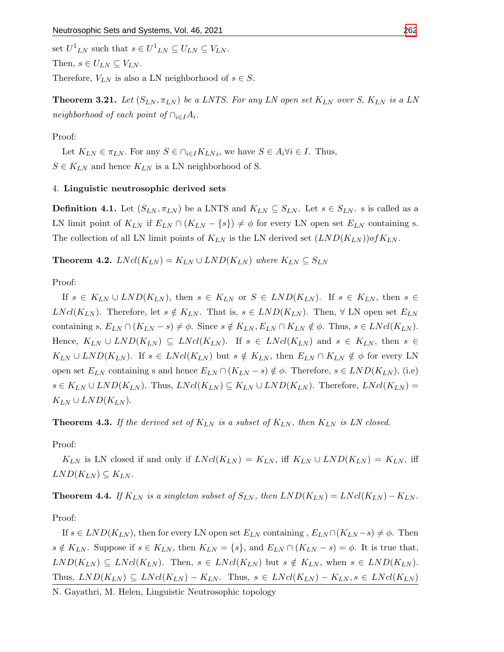set  $U^1{}_{LN}$  such that  $s \in U^1{}_{LN} \subseteq U_{LN} \subseteq V_{LN}$ . Then,  $s \in U_{LN} \subseteq V_{LN}$ . Therefore,  $V_{LN}$  is also a LN neighborhood of  $s \in S$ .

**Theorem 3.21.** Let  $(S_{LN}, \pi_{LN})$  be a LNTS. For any LN open set  $K_{LN}$  over S,  $K_{LN}$  is a LN neighborhood of each point of  $\cap_{i\in I}A_i$ .

Proof:

Let  $K_{LN} \in \pi_{LN}$ . For any  $S \in \bigcap_{i \in I} K_{LN_i}$ , we have  $S \in A_i \forall i \in I$ . Thus,  $S \in K_{LN}$  and hence  $K_{LN}$  is a LN neighborhood of S.

#### 4. Linguistic neutrosophic derived sets

**Definition 4.1.** Let  $(S_{LN}, \pi_{LN})$  be a LNTS and  $K_{LN} \subseteq S_{LN}$ . Let  $s \in S_{LN}$ . s is called as a LN limit point of  $K_{LN}$  if  $E_{LN} \cap (K_{LN} - \{s\}) \neq \phi$  for every LN open set  $E_{LN}$  containing s. The collection of all LN limit points of  $K_{LN}$  is the LN derived set  $(LND(K_{LN}))\circ fK_{LN}$ .

**Theorem 4.2.**  $LNcl(K_{LN}) = K_{LN} \cup LND(K_{LN})$  where  $K_{LN} \subseteq S_{LN}$ 

Proof:

If  $s \in K_{LN} \cup LND(K_{LN})$ , then  $s \in K_{LN}$  or  $S \in LND(K_{LN})$ . If  $s \in K_{LN}$ , then  $s \in$  $LNcl(K_{LN})$ . Therefore, let  $s \notin K_{LN}$ . That is,  $s \in LND(K_{LN})$ . Then,  $\forall$  LN open set  $E_{LN}$ containing s,  $E_{LN} \cap (K_{LN} - s) \neq \phi$ . Since  $s \notin K_{LN}, E_{LN} \cap K_{LN} \notin \phi$ . Thus,  $s \in LNcl(K_{LN})$ . Hence,  $K_{LN} \cup LND(K_{LN}) \subseteq LNcl(K_{LN})$ . If  $s \in LNcl(K_{LN})$  and  $s \in K_{LN}$ , then  $s \in$  $K_{LN} \cup LND(K_{LN})$ . If  $s \in LNcl(K_{LN})$  but  $s \notin K_{LN}$ , then  $E_{LN} \cap K_{LN} \notin \phi$  for every LN open set  $E_{LN}$  containing s and hence  $E_{LN} \cap (K_{LN} - s) \notin \phi$ . Therefore,  $s \in LND(K_{LN})$ , (i.e)  $s \in K_{LN} \cup LND(K_{LN})$ . Thus,  $LNcl(K_{LN}) \subseteq K_{LN} \cup LND(K_{LN})$ . Therefore,  $LNcl(K_{LN}) =$  $K_{LN} \cup LND(K_{LN}).$ 

**Theorem 4.3.** If the derived set of  $K_{LN}$  is a subset of  $K_{LN}$ , then  $K_{LN}$  is LN closed.

Proof:

 $K_{LN}$  is LN closed if and only if  $LNcl(K_{LN}) = K_{LN}$ , iff  $K_{LN} \cup LND(K_{LN}) = K_{LN}$ , iff  $LND(K_{LN})\subseteq K_{LN}$ .

**Theorem 4.4.** If  $K_{LN}$  is a singleton subset of  $S_{LN}$ , then  $LND(K_{LN}) = LNcl(K_{LN}) - K_{LN}$ .

Proof:

If  $s \in LND(K_{LN})$ , then for every LN open set  $E_{LN}$  containing ,  $E_{LN} \cap (K_{LN} - s) \neq \emptyset$ . Then  $s \notin K_{LN}$ . Suppose if  $s \in K_{LN}$ , then  $K_{LN} = \{s\}$ , and  $E_{LN} \cap (K_{LN} - s) = \phi$ . It is true that,  $LND(K_{LN}) \subseteq LNcl(K_{LN})$ . Then,  $s \in LNcl(K_{LN})$  but  $s \notin K_{LN}$ , when  $s \in LND(K_{LN})$ . Thus,  $LND(K_{LN}) \subseteq LNcl(K_{LN}) - K_{LN}$ . Thus,  $s \in LNcl(K_{LN}) - K_{LN}, s \in LNcl(K_{LN})$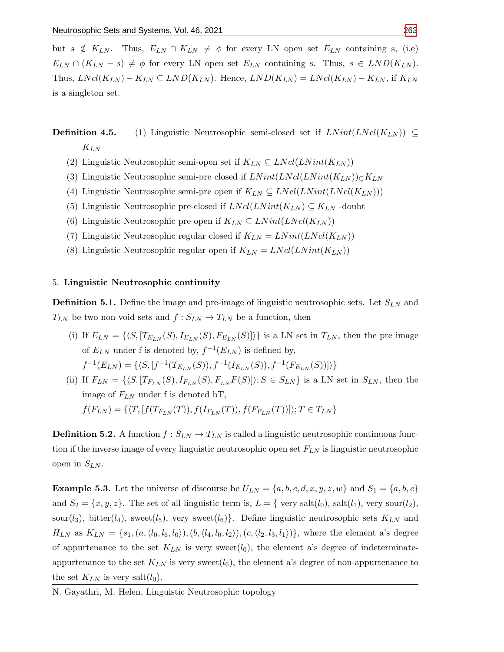but  $s \notin K_{LN}$ . Thus,  $E_{LN} \cap K_{LN} \neq \phi$  for every LN open set  $E_{LN}$  containing s, (i.e)  $E_{LN} \cap (K_{LN} - s) \neq \phi$  for every LN open set  $E_{LN}$  containing s. Thus,  $s \in LND(K_{LN})$ . Thus,  $LNcl(K_{LN}) - K_{LN} \subseteq LND(K_{LN})$ . Hence,  $LND(K_{LN}) = LNcl(K_{LN}) - K_{LN}$ , if  $K_{LN}$ is a singleton set.

**Definition 4.5.** (1) Linguistic Neutrosophic semi-closed set if  $LNint(LNcl(K_{LN})) \subseteq$  $K_{LN}$ 

- (2) Linguistic Neutrosophic semi-open set if  $K_{LN} \subseteq LNcl(LNint(K_{LN}))$
- (3) Linguistic Neutrosophic semi-pre closed if  $LNint(LNcl(LNint(K_{LN}))\subset K_{LN})$
- (4) Linguistic Neutrosophic semi-pre open if  $K_{LN} \subseteq LNcl(LNint(LNcl(K_{LN})))$
- (5) Linguistic Neutrosophic pre-closed if  $LNcl(LNint(K_{LN}) \subseteq K_{LN}$  -doubt
- (6) Linguistic Neutrosophic pre-open if  $K_{LN} \subseteq LNint(LNcl(K_{LN}))$
- (7) Linguistic Neutrosophic regular closed if  $K_{LN} = LNint(LNcl(K_{LN}))$
- (8) Linguistic Neutrosophic regular open if  $K_{LN} = LNcl(LNint(K_{LN}))$

#### 5. Linguistic Neutrosophic continuity

**Definition 5.1.** Define the image and pre-image of linguistic neutrosophic sets. Let  $S_{LN}$  and  $T_{LN}$  be two non-void sets and  $f: S_{LN} \to T_{LN}$  be a function, then

(i) If  $E_{LN} = \{\langle S, [T_{E_{LN}}(S), I_{E_{LN}}(S), F_{E_{LN}}(S)]\rangle\}$  is a LN set in  $T_{LN}$ , then the pre image of  $E_{LN}$  under f is denoted by,  $f^{-1}(E_{LN})$  is defined by,

$$
f^{-1}(E_{LN}) = \{ \langle S, [f^{-1}(T_{E_{LN}}(S)), f^{-1}(I_{E_{LN}}(S)), f^{-1}(F_{E_{LN}}(S))] \rangle \}
$$

(ii) If  $F_{LN} = \{\langle S, [T_{F_{LN}}(S), I_{F_{LN}}(S), F_{LN}F(S)]\rangle; S \in S_{LN}\}\$ is a LN set in  $S_{LN}$ , then the image of  $F_{LN}$  under f is denoted bT,  $f(F_{LN}) = \{\langle T, [f(T_{F_{LN}}(T)), f(I_{F_{LN}}(T)), f(F_{F_{LN}}(T))]\rangle; T \in T_{LN}\}\$ 

**Definition 5.2.** A function  $f : S_{LN} \to T_{LN}$  is called a linguistic neutrosophic continuous function if the inverse image of every linguistic neutrosophic open set  $F_{LN}$  is linguistic neutrosophic open in  $S_{LN}$ .

**Example 5.3.** Let the universe of discourse be  $U_{LN} = \{a, b, c, d, x, y, z, w\}$  and  $S_1 = \{a, b, c\}$ and  $S_2 = \{x, y, z\}$ . The set of all linguistic term is,  $L = \{$  very salt $(l_0)$ , salt $(l_1)$ , very sour $(l_2)$ , sour( $l_3$ ), bitter( $l_4$ ), sweet( $l_5$ ), very sweet( $l_6$ )}. Define linguistic neutrosophic sets  $K_{LN}$  and  $H_{LN}$  as  $K_{LN} = \{s_1, (a, \langle l_0, l_6, l_0 \rangle), (b, \langle l_4, l_0, l_2 \rangle), (c, \langle l_2, l_3, l_1 \rangle)\}\$ , where the element a's degree of appurtenance to the set  $K_{LN}$  is very sweet( $l_0$ ), the element a's degree of indeterminateappurtenance to the set  $K_{LN}$  is very sweet $(l_6)$ , the element a's degree of non-appurtenance to the set  $K_{LN}$  is very salt $(l_0)$ .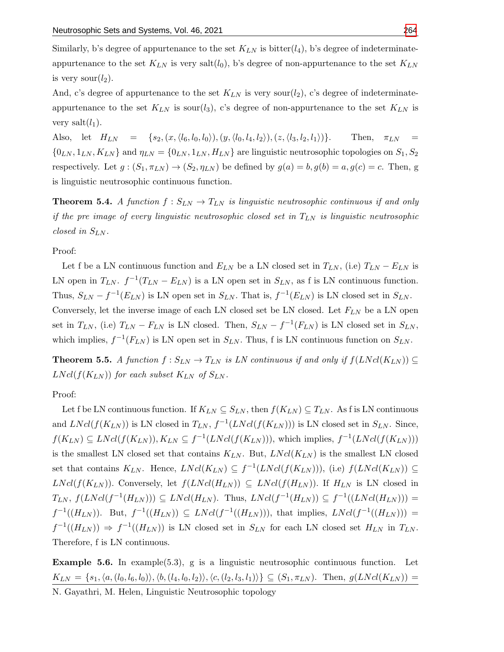Similarly, b's degree of appurtenance to the set  $K_{LN}$  is bitter( $l_4$ ), b's degree of indeterminateappurtenance to the set  $K_{LN}$  is very salt $(l_0)$ , b's degree of non-appurtenance to the set  $K_{LN}$ is very sour $(l_2)$ .

And, c's degree of appurtenance to the set  $K_{LN}$  is very sour( $l_2$ ), c's degree of indeterminateappurtenance to the set  $K_{LN}$  is sour(l<sub>3</sub>), c's degree of non-appurtenance to the set  $K_{LN}$  is very salt $(l_1)$ .

Also, let  $H_{LN} = \{s_2, (x, \langle l_6, l_0, l_0 \rangle), (y, \langle l_0, l_4, l_2 \rangle), (z, \langle l_3, l_2, l_1 \rangle)\}\.$  Then,  $\pi_{LN} =$  $\{0_{LN}, 1_{LN}, K_{LN}\}\$ and  $\eta_{LN} = \{0_{LN}, 1_{LN}, H_{LN}\}\$ are linguistic neutrosophic topologies on  $S_1, S_2$ respectively. Let  $g:(S_1, \pi_{LN}) \to (S_2, \eta_{LN})$  be defined by  $g(a) = b, g(b) = a, g(c) = c$ . Then, g is linguistic neutrosophic continuous function.

**Theorem 5.4.** A function  $f : S_{LN} \to T_{LN}$  is linguistic neutrosophic continuous if and only if the pre image of every linguistic neutrosophic closed set in  $T_{LN}$  is linguistic neutrosophic closed in  $S_{LN}$ .

Proof:

Let f be a LN continuous function and  $E_{LN}$  be a LN closed set in  $T_{LN}$ , (i.e)  $T_{LN} - E_{LN}$  is LN open in  $T_{LN}$ .  $f^{-1}(T_{LN} - E_{LN})$  is a LN open set in  $S_{LN}$ , as f is LN continuous function. Thus,  $S_{LN} - f^{-1}(E_{LN})$  is LN open set in  $S_{LN}$ . That is,  $f^{-1}(E_{LN})$  is LN closed set in  $S_{LN}$ .

Conversely, let the inverse image of each LN closed set be LN closed. Let  $F_{LN}$  be a LN open set in  $T_{LN}$ , (i.e)  $T_{LN} - F_{LN}$  is LN closed. Then,  $S_{LN} - f^{-1}(F_{LN})$  is LN closed set in  $S_{LN}$ , which implies,  $f^{-1}(F_{LN})$  is LN open set in  $S_{LN}$ . Thus, f is LN continuous function on  $S_{LN}$ .

**Theorem 5.5.** A function  $f : S_{LN} \to T_{LN}$  is LN continuous if and only if  $f(LNcl(K_{LN})) \subseteq$  $LNcl(f(K_{LN}))$  for each subset  $K_{LN}$  of  $S_{LN}$ .

### Proof:

Let f be LN continuous function. If  $K_{LN} \subseteq S_{LN}$ , then  $f(K_{LN}) \subseteq T_{LN}$ . As f is LN continuous and  $LNcl(f(K_{LN}))$  is LN closed in  $T_{LN}$ ,  $f^{-1}(LNcl(f(K_{LN})))$  is LN closed set in  $S_{LN}$ . Since,  $f(K_{LN}) \subseteq LNcl(f(K_{LN}))$ ,  $K_{LN} \subseteq f^{-1}(LNcl(f(K_{LN})))$ , which implies,  $f^{-1}(LNcl(f(K_{LN})))$ is the smallest LN closed set that contains  $K_{LN}$ . But,  $LNcl(K_{LN})$  is the smallest LN closed set that contains  $K_{LN}$ . Hence,  $LNcl(K_{LN}) \subseteq f^{-1}(LNcl(f(K_{LN}))),$  (i.e)  $f(LNcl(K_{LN})) \subseteq$  $LNcl(f(K_{LN}))$ . Conversely, let  $f(LNcl(H_{LN})) \subseteq LNcl(f(H_{LN}))$ . If  $H_{LN}$  is LN closed in  $T_{LN}$ ,  $f(LNcl(f^{-1}(H_{LN}))) \subseteq LNcl(H_{LN})$ . Thus,  $LNcl(f^{-1}(H_{LN})) \subseteq f^{-1}((LNcl(H_{LN})))$  =  $f^{-1}((H_{LN}))$ . But,  $f^{-1}((H_{LN})) \subseteq LNcl(f^{-1}((H_{LN})))$ , that implies,  $LNcl(f^{-1}((H_{LN})))$  =  $f^{-1}((H_{LN})) \Rightarrow f^{-1}((H_{LN}))$  is LN closed set in  $S_{LN}$  for each LN closed set  $H_{LN}$  in  $T_{LN}$ . Therefore, f is LN continuous.

**Example 5.6.** In example(5.3), g is a linguistic neutrosophic continuous function. Let  $K_{LN} = \{s_1,\langle a,(l_0, l_6, l_0)\rangle,\langle b,(l_4, l_0, l_2)\rangle,\langle c,(l_2, l_3, l_1)\rangle\} \subseteq (S_1, \pi_{LN})$ . Then,  $g(LNcl(K_{LN}))$  = N. Gayathri, M. Helen, Linguistic Neutrosophic topology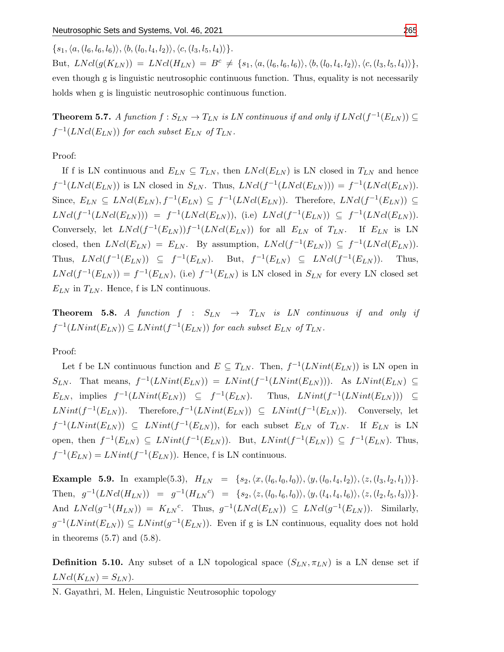$\{s_1,\langle a,(l_6, l_6, l_6)\rangle,\langle b,(l_0, l_4, l_2)\rangle,\langle c,(l_3, l_5, l_4)\rangle\}.$ 

But,  $LNcl(g(K_{LN})) = LNcl(H_{LN}) = B^c \neq \{s_1,\langle a,(l_6,l_6,l_6)\rangle,\langle b,(l_0,l_4,l_2)\rangle,\langle c,(l_3,l_5,l_4)\rangle\},\$ even though g is linguistic neutrosophic continuous function. Thus, equality is not necessarily holds when g is linguistic neutrosophic continuous function.

**Theorem 5.7.** A function  $f : S_{LN} \to T_{LN}$  is LN continuous if and only if  $LNcl(f^{-1}(E_{LN})) \subseteq$  $f^{-1}(LNcl(E_{LN}))$  for each subset  $E_{LN}$  of  $T_{LN}$ .

Proof:

If f is LN continuous and  $E_{LN} \subseteq T_{LN}$ , then  $LNcl(E_{LN})$  is LN closed in  $T_{LN}$  and hence  $f^{-1}(LNcl(E_{LN}))$  is LN closed in  $S_{LN}$ . Thus,  $LNcl(f^{-1}(LNcl(E_{LN}))) = f^{-1}(LNcl(E_{LN}))$ . Since,  $E_{LN} \subseteq LNcl(E_{LN}), f^{-1}(E_{LN}) \subseteq f^{-1}(LNcl(E_{LN}))$ . Therefore,  $LNcl(f^{-1}(E_{LN})) \subseteq$  $LNcl(f^{-1}(LNcl(E_{LN}))) = f^{-1}(LNcl(E_{LN}))$ , (i.e)  $LNcl(f^{-1}(E_{LN})) \subseteq f^{-1}(LNcl(E_{LN}))$ . Conversely, let  $LNcl(f^{-1}(E_{LN}))f^{-1}(LNcl(E_{LN}))$  for all  $E_{LN}$  of  $T_{LN}$ . If  $E_{LN}$  is LN closed, then  $LNcl(E_{LN}) = E_{LN}$ . By assumption,  $LNcl(f^{-1}(E_{LN})) \subseteq f^{-1}(LNcl(E_{LN}))$ . Thus,  $LNcl(f^{-1}(E_{LN})) \subseteq f^{-1}(E_{LN})$ . But,  $f^{-1}(E_{LN}) \subseteq LNcl(f^{-1}(E_{LN}))$ . Thus,  $LNcl(f^{-1}(E_{LN})) = f^{-1}(E_{LN}),$  (i.e)  $f^{-1}(E_{LN})$  is LN closed in  $S_{LN}$  for every LN closed set  $E_{LN}$  in  $T_{LN}$ . Hence, f is LN continuous.

**Theorem 5.8.** A function  $f : S_{LN} \rightarrow T_{LN}$  is LN continuous if and only if  $f^{-1}(LNint(E_{LN})) \subseteq LNint(f^{-1}(E_{LN}))$  for each subset  $E_{LN}$  of  $T_{LN}$ .

Proof:

Let f be LN continuous function and  $E \subseteq T_{LN}$ . Then,  $f^{-1}(LNint(E_{LN}))$  is LN open in  $S_{LN}$ . That means,  $f^{-1}(LNint(E_{LN})) = LNint(f^{-1}(LNint(E_{LN})))$ . As  $LNint(E_{LN}) \subseteq$  $E_{LN}$ , implies  $f^{-1}(LNint(E_{LN})) \subseteq f^{-1}(E_{LN})$ . Thus,  $LNint(f^{-1}(LNint(E_{LN}))) \subseteq$  $LNint(f^{-1}(E_{LN}))$ . Therefore,  $f^{-1}(LNint(E_{LN})) \subseteq LNint(f^{-1}(E_{LN}))$ . Conversely, let  $f^{-1}(LNint(E_{LN}))$   $\subseteq$   $LNint(f^{-1}(E_{LN}))$ , for each subset  $E_{LN}$  of  $T_{LN}$ . If  $E_{LN}$  is LN open, then  $f^{-1}(E_{LN}) \subseteq LNint(f^{-1}(E_{LN}))$ . But,  $LNint(f^{-1}(E_{LN})) \subseteq f^{-1}(E_{LN})$ . Thus,  $f^{-1}(E_{LN}) = LNint(f^{-1}(E_{LN}))$ . Hence, f is LN continuous.

**Example 5.9.** In example(5.3),  $H_{LN} = \{s_2, \langle x, (l_6, l_0, l_0) \rangle, \langle y, (l_0, l_4, l_2) \rangle, \langle z, (l_3, l_2, l_1) \rangle\}.$ Then,  $g^{-1}(LNcl(H_{LN})) = g^{-1}(H_{LN}^c) = \{s_2, \langle z, (l_0, l_6, l_0) \rangle, \langle y, (l_4, l_4, l_6) \rangle, \langle z, (l_2, l_5, l_3) \rangle\}.$ And  $LNcl(g^{-1}(H_{LN})) = K_{LN}^c$ . Thus,  $g^{-1}(LNcl(E_{LN})) \subseteq LNcl(g^{-1}(E_{LN}))$ . Similarly,  $g^{-1}(LNint(E_{LN})) \subseteq LNint(g^{-1}(E_{LN}))$ . Even if g is LN continuous, equality does not hold in theorems  $(5.7)$  and  $(5.8)$ .

**Definition 5.10.** Any subset of a LN topological space  $(S_{LN}, \pi_{LN})$  is a LN dense set if  $LNcl(K_{LN}) = S_{LN}$ .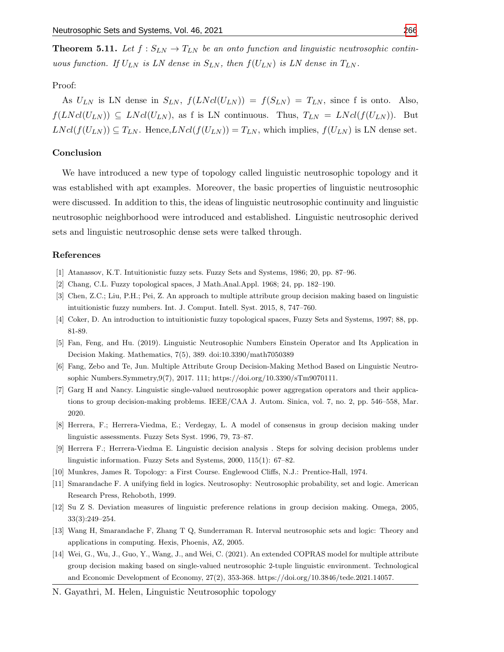**Theorem 5.11.** Let  $f : S_{LN} \to T_{LN}$  be an onto function and linguistic neutrosophic continuous function. If  $U_{LN}$  is LN dense in  $S_{LN}$ , then  $f(U_{LN})$  is LN dense in  $T_{LN}$ .

### Proof:

As  $U_{LN}$  is LN dense in  $S_{LN}$ ,  $f(LNcl(U_{LN})) = f(S_{LN}) = T_{LN}$ , since f is onto. Also,  $f(LNcl(U_{LN})) \subseteq LNcl(U_{LN})$ , as f is LN continuous. Thus,  $T_{LN} = LNcl(f(U_{LN}))$ . But  $LNcl(f(U_{LN})) \subseteq T_{LN}$ . Hence, $LNcl(f(U_{LN})) = T_{LN}$ , which implies,  $f(U_{LN})$  is LN dense set.

#### Conclusion

We have introduced a new type of topology called linguistic neutrosophic topology and it was established with apt examples. Moreover, the basic properties of linguistic neutrosophic were discussed. In addition to this, the ideas of linguistic neutrosophic continuity and linguistic neutrosophic neighborhood were introduced and established. Linguistic neutrosophic derived sets and linguistic neutrosophic dense sets were talked through.

#### References

- <span id="page-12-1"></span>[1] Atanassov, K.T. Intuitionistic fuzzy sets. Fuzzy Sets and Systems, 1986; 20, pp. 87–96.
- <span id="page-12-0"></span>[2] Chang, C.L. Fuzzy topological spaces, J Math.Anal.Appl. 1968; 24, pp. 182–190.
- <span id="page-12-8"></span>[3] Chen, Z.C.; Liu, P.H.; Pei, Z. An approach to multiple attribute group decision making based on linguistic intuitionistic fuzzy numbers. Int. J. Comput. Intell. Syst. 2015, 8, 747–760.
- <span id="page-12-2"></span>[4] Coker, D. An introduction to intuitionistic fuzzy topological spaces, Fuzzy Sets and Systems, 1997; 88, pp. 81-89.
- [5] Fan, Feng, and Hu. (2019). Linguistic Neutrosophic Numbers Einstein Operator and Its Application in Decision Making. Mathematics, 7(5), 389. doi:10.3390/math7050389
- <span id="page-12-10"></span>[6] Fang, Zebo and Te, Jun. Multiple Attribute Group Decision-Making Method Based on Linguistic Neutrosophic Numbers.Symmetry,9(7), 2017. 111; https://doi.org/10.3390/sTm9070111.
- [7] Garg H and Nancy. Linguistic single-valued neutrosophic power aggregation operators and their applications to group decision-making problems. IEEE/CAA J. Autom. Sinica, vol. 7, no. 2, pp. 546–558, Mar. 2020.
- <span id="page-12-6"></span>[8] Herrera, F.; Herrera-Viedma, E.; Verdegay, L. A model of consensus in group decision making under linguistic assessments. Fuzzy Sets Syst. 1996, 79, 73–87.
- <span id="page-12-5"></span>[9] Herrera F.; Herrera-Viedma E. Linguistic decision analysis . Steps for solving decision problems under linguistic information. Fuzzy Sets and Systems, 2000, 115(1): 67–82.
- [10] Munkres, James R. Topology: a First Course. Englewood Cliffs, N.J.: Prentice-Hall, 1974.
- <span id="page-12-3"></span>[11] Smarandache F. A unifying field in logics. Neutrosophy: Neutrosophic probability, set and logic. American Research Press, Rehoboth, 1999.
- <span id="page-12-7"></span>[12] Su Z S. Deviation measures of linguistic preference relations in group decision making. Omega, 2005, 33(3):249–254.
- <span id="page-12-4"></span>[13] Wang H, Smarandache F, Zhang T Q, Sunderraman R. Interval neutrosophic sets and logic: Theory and applications in computing. Hexis, Phoenis, AZ, 2005.
- <span id="page-12-9"></span>[14] Wei, G., Wu, J., Guo, Y., Wang, J., and Wei, C. (2021). An extended COPRAS model for multiple attribute group decision making based on single-valued neutrosophic 2-tuple linguistic environment. Technological and Economic Development of Economy, 27(2), 353-368. https://doi.org/10.3846/tede.2021.14057.
- N. Gayathri, M. Helen, Linguistic Neutrosophic topology